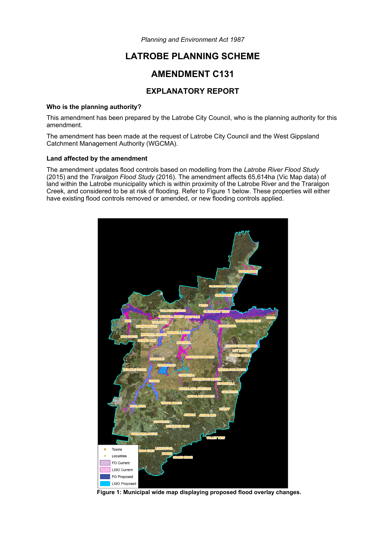*Planning and Environment Act 1987* 

# **LATROBE PLANNING SCHEME**

## **AMENDMENT C131**

### **EXPLANATORY REPORT**

#### **Who is the planning authority?**

This amendment has been prepared by the Latrobe City Council, who is the planning authority for this amendment.

The amendment has been made at the request of Latrobe City Council and the West Gippsland Catchment Management Authority (WGCMA).

#### **Land affected by the amendment**

The amendment updates flood controls based on modelling from the *Latrobe River Flood Study* (2015) and the *Traralgon Flood Study* (2016). The amendment affects 65,614ha (Vic Map data) of land within the Latrobe municipality which is within proximity of the Latrobe River and the Traralgon Creek, and considered to be at risk of flooding. Refer to Figure 1 below. These properties will either have existing flood controls removed or amended, or new flooding controls applied.



**Figure 1: Municipal wide map displaying proposed flood overlay changes.**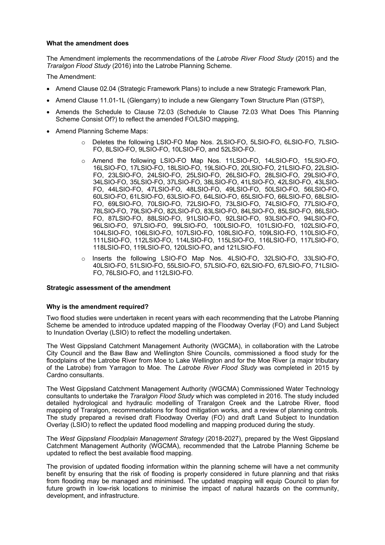#### **What the amendment does**

The Amendment implements the recommendations of the *Latrobe River Flood Study* (2015) and the *Traralgon Flood Study* (2016) into the Latrobe Planning Scheme.

The Amendment:

- Amend Clause 02.04 (Strategic Framework Plans) to include a new Strategic Framework Plan,
- Amend Clause 11.01-1L (Glengarry) to include a new Glengarry Town Structure Plan (GTSP),
- Amends the Schedule to Clause 72.03 (Schedule to Clause 72.03 What Does This Planning Scheme Consist Of?) to reflect the amended FO/LSIO mapping,
- Amend Planning Scheme Maps:
	- o Deletes the following LSIO-FO Map Nos. 2LSIO-FO, 5LSIO-FO, 6LSIO-FO, 7LSIO-FO, 8LSIO-FO, 9LSIO-FO, 10LSIO-FO, and 52LSIO-FO.
	- o Amend the following LSIO-FO Map Nos. 11LSIO-FO, 14LSIO-FO, 15LSIO-FO, 16LSIO-FO, 17LSIO-FO, 18LSIO-FO, 19LSIO-FO, 20LSIO-FO, 21LSIO-FO, 22LSIO-FO, 23LSIO-FO, 24LSIO-FO, 25LSIO-FO, 26LSIO-FO, 28LSIO-FO, 29LSIO-FO, 34LSIO-FO, 35LSIO-FO, 37LSIO-FO, 38LSIO-FO, 41LSIO-FO, 42LSIO-FO, 43LSIO-FO, 44LSIO-FO, 47LSIO-FO, 48LSIO-FO, 49LSIO-FO, 50LSIO-FO, 56LSIO-FO, 60LSIO-FO, 61LSIO-FO, 63LSIO-FO, 64LSIO-FO, 65LSIO-FO, 66LSIO-FO, 68LSIO-FO, 69LSIO-FO, 70LSIO-FO, 72LSIO-FO, 73LSIO-FO, 74LSIO-FO, 77LSIO-FO, 78LSIO-FO, 79LSIO-FO, 82LSIO-FO, 83LSIO-FO, 84LSIO-FO, 85LSIO-FO, 86LSIO-FO, 87LSIO-FO, 88LSIO-FO, 91LSIO-FO, 92LSIO-FO, 93LSIO-FO, 94LSIO-FO, 96LSIO-FO, 97LSIO-FO, 99LSIO-FO, 100LSIO-FO, 101LSIO-FO, 102LSIO-FO, 104LSIO-FO, 106LSIO-FO, 107LSIO-FO, 108LSIO-FO, 109LSIO-FO, 110LSIO-FO, 111LSIO-FO, 112LSIO-FO, 114LSIO-FO, 115LSIO-FO, 116LSIO-FO, 117LSIO-FO, 118LSIO-FO, 119LSIO-FO, 120LSIO-FO, and 121LSIO-FO.
	- o Inserts the following LSIO-FO Map Nos. 4LSIO-FO, 32LSIO-FO, 33LSIO-FO, 40LSIO-FO, 51LSIO-FO, 55LSIO-FO, 57LSIO-FO, 62LSIO-FO, 67LSIO-FO, 71LSIO-FO, 76LSIO-FO, and 112LSIO-FO.

#### **Strategic assessment of the amendment**

#### **Why is the amendment required?**

Two flood studies were undertaken in recent years with each recommending that the Latrobe Planning Scheme be amended to introduce updated mapping of the Floodway Overlay (FO) and Land Subject to Inundation Overlay (LSIO) to reflect the modelling undertaken.

The West Gippsland Catchment Management Authority (WGCMA), in collaboration with the Latrobe City Council and the Baw Baw and Wellington Shire Councils, commissioned a flood study for the floodplains of the Latrobe River from Moe to Lake Wellington and for the Moe River (a major tributary of the Latrobe) from Yarragon to Moe. The *Latrobe River Flood Study* was completed in 2015 by Cardno consultants.

The West Gippsland Catchment Management Authority (WGCMA) Commissioned Water Technology consultants to undertake the *Traralgon Flood Study* which was completed in 2016. The study included detailed hydrological and hydraulic modelling of Traralgon Creek and the Latrobe River, flood mapping of Traralgon, recommendations for flood mitigation works, and a review of planning controls. The study prepared a revised draft Floodway Overlay (FO) and draft Land Subject to Inundation Overlay (LSIO) to reflect the updated flood modelling and mapping produced during the study.

The *West Gippsland Floodplain Management Strategy* (2018-2027), prepared by the West Gippsland Catchment Management Authority (WGCMA), recommended that the Latrobe Planning Scheme be updated to reflect the best available flood mapping.

The provision of updated flooding information within the planning scheme will have a net community benefit by ensuring that the risk of flooding is properly considered in future planning and that risks from flooding may be managed and minimised. The updated mapping will equip Council to plan for future growth in low-risk locations to minimise the impact of natural hazards on the community, development, and infrastructure.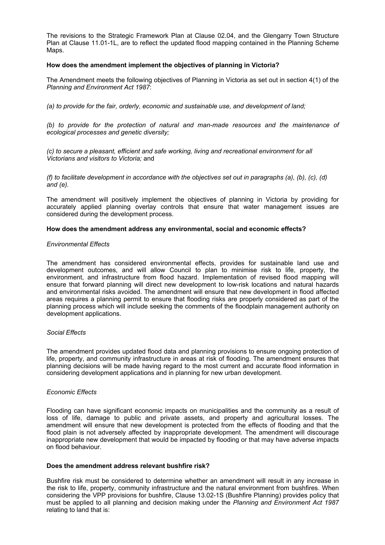The revisions to the Strategic Framework Plan at Clause 02.04, and the Glengarry Town Structure Plan at Clause 11.01-1L, are to reflect the updated flood mapping contained in the Planning Scheme Maps.

#### **How does the amendment implement the objectives of planning in Victoria?**

The Amendment meets the following objectives of Planning in Victoria as set out in section 4(1) of the *Planning and Environment Act 1987*:

*(a) to provide for the fair, orderly, economic and sustainable use, and development of land;* 

*(b) to provide for the protection of natural and man-made resources and the maintenance of ecological processes and genetic diversity;* 

*(c) to secure a pleasant, efficient and safe working, living and recreational environment for all Victorians and visitors to Victoria;* and

*(f) to facilitate development in accordance with the objectives set out in paragraphs (a), (b), (c), (d) and (e).* 

The amendment will positively implement the objectives of planning in Victoria by providing for accurately applied planning overlay controls that ensure that water management issues are considered during the development process.

#### **How does the amendment address any environmental, social and economic effects?**

#### *Environmental Effects*

The amendment has considered environmental effects, provides for sustainable land use and development outcomes, and will allow Council to plan to minimise risk to life, property, the environment, and infrastructure from flood hazard. Implementation of revised flood mapping will ensure that forward planning will direct new development to low-risk locations and natural hazards and environmental risks avoided. The amendment will ensure that new development in flood affected areas requires a planning permit to ensure that flooding risks are properly considered as part of the planning process which will include seeking the comments of the floodplain management authority on development applications.

#### *Social Effects*

The amendment provides updated flood data and planning provisions to ensure ongoing protection of life, property, and community infrastructure in areas at risk of flooding. The amendment ensures that planning decisions will be made having regard to the most current and accurate flood information in considering development applications and in planning for new urban development.

#### *Economic Effects*

Flooding can have significant economic impacts on municipalities and the community as a result of loss of life, damage to public and private assets, and property and agricultural losses. The amendment will ensure that new development is protected from the effects of flooding and that the flood plain is not adversely affected by inappropriate development. The amendment will discourage inappropriate new development that would be impacted by flooding or that may have adverse impacts on flood behaviour.

#### **Does the amendment address relevant bushfire risk?**

Bushfire risk must be considered to determine whether an amendment will result in any increase in the risk to life, property, community infrastructure and the natural environment from bushfires. When considering the VPP provisions for bushfire, Clause 13.02-1S (Bushfire Planning) provides policy that must be applied to all planning and decision making under the *Planning and Environment Act 1987* relating to land that is: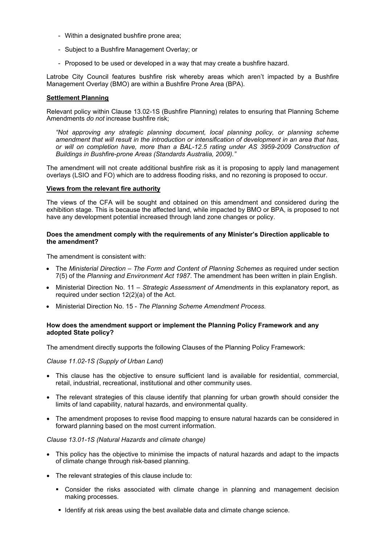- Within a designated bushfire prone area;
- Subject to a Bushfire Management Overlay; or
- Proposed to be used or developed in a way that may create a bushfire hazard.

Latrobe City Council features bushfire risk whereby areas which aren't impacted by a Bushfire Management Overlay (BMO) are within a Bushfire Prone Area (BPA).

#### **Settlement Planning**

Relevant policy within Clause 13.02-1S (Bushfire Planning) relates to ensuring that Planning Scheme Amendments *do not* increase bushfire risk;

*"Not approving any strategic planning document, local planning policy, or planning scheme amendment that will result in the introduction or intensification of development in an area that has, or will on completion have, more than a BAL-12.5 rating under AS 3959-2009 Construction of Buildings in Bushfire-prone Areas (Standards Australia, 2009)."* 

The amendment will not create additional bushfire risk as it is proposing to apply land management overlays (LSIO and FO) which are to address flooding risks, and no rezoning is proposed to occur.

#### **Views from the relevant fire authority**

The views of the CFA will be sought and obtained on this amendment and considered during the exhibition stage. This is because the affected land, while impacted by BMO or BPA, is proposed to not have any development potential increased through land zone changes or policy.

#### **Does the amendment comply with the requirements of any Minister's Direction applicable to the amendment?**

The amendment is consistent with:

- The *Ministerial Direction The Form and Content of Planning Schemes* as required under section 7(5) of the *Planning and Environment Act 1987*. The amendment has been written in plain English.
- Ministerial Direction No. 11 *Strategic Assessment of Amendments* in this explanatory report, as required under section 12(2)(a) of the Act.
- Ministerial Direction No. 15 *The Planning Scheme Amendment Process.*

#### **How does the amendment support or implement the Planning Policy Framework and any adopted State policy?**

The amendment directly supports the following Clauses of the Planning Policy Framework:

#### *Clause 11.02-1S (Supply of Urban Land)*

- This clause has the objective to ensure sufficient land is available for residential, commercial, retail, industrial, recreational, institutional and other community uses.
- The relevant strategies of this clause identify that planning for urban growth should consider the limits of land capability, natural hazards, and environmental quality.
- The amendment proposes to revise flood mapping to ensure natural hazards can be considered in forward planning based on the most current information.

#### *Clause 13.01-1S (Natural Hazards and climate change)*

- This policy has the objective to minimise the impacts of natural hazards and adapt to the impacts of climate change through risk-based planning.
- The relevant strategies of this clause include to:
	- Consider the risks associated with climate change in planning and management decision making processes.
	- Identify at risk areas using the best available data and climate change science.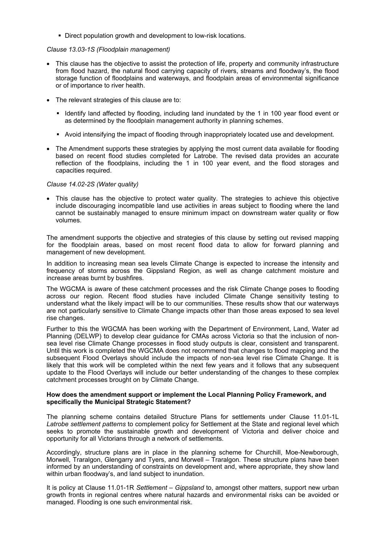Direct population growth and development to low-risk locations.

#### *Clause 13.03-1S (Floodplain management)*

- This clause has the objective to assist the protection of life, property and community infrastructure from flood hazard, the natural flood carrying capacity of rivers, streams and floodway's, the flood storage function of floodplains and waterways, and floodplain areas of environmental significance or of importance to river health.
- The relevant strategies of this clause are to:
	- Identify land affected by flooding, including land inundated by the 1 in 100 year flood event or as determined by the floodplain management authority in planning schemes.
	- Avoid intensifying the impact of flooding through inappropriately located use and development.
- The Amendment supports these strategies by applying the most current data available for flooding based on recent flood studies completed for Latrobe. The revised data provides an accurate reflection of the floodplains, including the 1 in 100 year event, and the flood storages and capacities required.

#### *Clause 14.02-2S (Water quality)*

 This clause has the objective to protect water quality. The strategies to achieve this objective include discouraging incompatible land use activities in areas subject to flooding where the land cannot be sustainably managed to ensure minimum impact on downstream water quality or flow volumes.

The amendment supports the objective and strategies of this clause by setting out revised mapping for the floodplain areas, based on most recent flood data to allow for forward planning and management of new development.

In addition to increasing mean sea levels Climate Change is expected to increase the intensity and frequency of storms across the Gippsland Region, as well as change catchment moisture and increase areas burnt by bushfires.

The WGCMA is aware of these catchment processes and the risk Climate Change poses to flooding across our region. Recent flood studies have included Climate Change sensitivity testing to understand what the likely impact will be to our communities. These results show that our waterways are not particularly sensitive to Climate Change impacts other than those areas exposed to sea level rise changes.

Further to this the WGCMA has been working with the Department of Environment, Land, Water ad Planning (DELWP) to develop clear guidance for CMAs across Victoria so that the inclusion of nonsea level rise Climate Change processes in flood study outputs is clear, consistent and transparent. Until this work is completed the WGCMA does not recommend that changes to flood mapping and the subsequent Flood Overlays should include the impacts of non-sea level rise Climate Change. It is likely that this work will be completed within the next few years and it follows that any subsequent update to the Flood Overlays will include our better understanding of the changes to these complex catchment processes brought on by Climate Change.

#### **How does the amendment support or implement the Local Planning Policy Framework, and specifically the Municipal Strategic Statement?**

The planning scheme contains detailed Structure Plans for settlements under Clause 11.01-1L *Latrobe settlement patterns* to complement policy for Settlement at the State and regional level which seeks to promote the sustainable growth and development of Victoria and deliver choice and opportunity for all Victorians through a network of settlements.

Accordingly, structure plans are in place in the planning scheme for Churchill, Moe-Newborough, Morwell, Traralgon, Glengarry and Tyers, and Morwell – Traralgon. These structure plans have been informed by an understanding of constraints on development and, where appropriate, they show land within urban floodway's, and land subject to inundation.

It is policy at Clause 11.01-1R *Settlement – Gippsland* to, amongst other matters, support new urban growth fronts in regional centres where natural hazards and environmental risks can be avoided or managed. Flooding is one such environmental risk.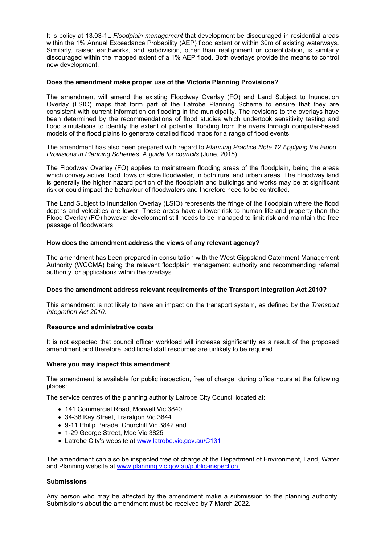It is policy at 13.03-1L *Floodplain management* that development be discouraged in residential areas within the 1% Annual Exceedance Probability (AEP) flood extent or within 30m of existing waterways. Similarly, raised earthworks, and subdivision, other than realignment or consolidation, is similarly discouraged within the mapped extent of a 1% AEP flood. Both overlays provide the means to control new development.

#### **Does the amendment make proper use of the Victoria Planning Provisions?**

The amendment will amend the existing Floodway Overlay (FO) and Land Subject to Inundation Overlay (LSIO) maps that form part of the Latrobe Planning Scheme to ensure that they are consistent with current information on flooding in the municipality. The revisions to the overlays have been determined by the recommendations of flood studies which undertook sensitivity testing and flood simulations to identify the extent of potential flooding from the rivers through computer-based models of the flood plains to generate detailed flood maps for a range of flood events.

The amendment has also been prepared with regard to *Planning Practice Note 12 Applying the Flood Provisions in Planning Schemes: A guide for councils* (June, 2015).

The Floodway Overlay (FO) applies to mainstream flooding areas of the floodplain, being the areas which convey active flood flows or store floodwater, in both rural and urban areas. The Floodway land is generally the higher hazard portion of the floodplain and buildings and works may be at significant risk or could impact the behaviour of floodwaters and therefore need to be controlled.

The Land Subject to Inundation Overlay (LSIO) represents the fringe of the floodplain where the flood depths and velocities are lower. These areas have a lower risk to human life and property than the Flood Overlay (FO) however development still needs to be managed to limit risk and maintain the free passage of floodwaters.

#### **How does the amendment address the views of any relevant agency?**

The amendment has been prepared in consultation with the West Gippsland Catchment Management Authority (WGCMA) being the relevant floodplain management authority and recommending referral authority for applications within the overlays.

#### **Does the amendment address relevant requirements of the Transport Integration Act 2010?**

This amendment is not likely to have an impact on the transport system, as defined by the *Transport Integration Act 2010.*

#### **Resource and administrative costs**

It is not expected that council officer workload will increase significantly as a result of the proposed amendment and therefore, additional staff resources are unlikely to be required.

#### **Where you may inspect this amendment**

The amendment is available for public inspection, free of charge, during office hours at the following places:

The service centres of the planning authority Latrobe City Council located at:

- 141 Commercial Road, Morwell Vic 3840
- 34-38 Kay Street, Traralgon Vic 3844
- 9-11 Philip Parade, Churchill Vic 3842 and
- 1-29 George Street, Moe Vic 3825
- Latrobe City's website at www.latrobe.vic.gov.au/C131

The amendment can also be inspected free of charge at the Department of Environment, Land, Water and Planning website at www.planning.vic.gov.au/public-inspection.

#### **Submissions**

Any person who may be affected by the amendment make a submission to the planning authority. Submissions about the amendment must be received by 7 March 2022.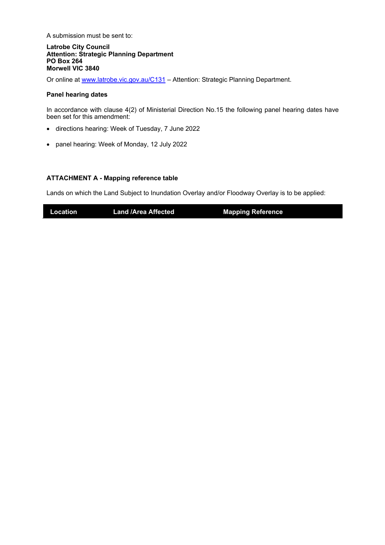A submission must be sent to:

**Latrobe City Council Attention: Strategic Planning Department PO Box 264 Morwell VIC 3840** 

Or online at www.latrobe.vic.gov.au/C131 – Attention: Strategic Planning Department.

#### **Panel hearing dates**

In accordance with clause 4(2) of Ministerial Direction No.15 the following panel hearing dates have been set for this amendment:

- directions hearing: Week of Tuesday, 7 June 2022
- panel hearing: Week of Monday, 12 July 2022

#### **ATTACHMENT A - Mapping reference table**

Lands on which the Land Subject to Inundation Overlay and/or Floodway Overlay is to be applied:

**Location Land /Area Affected Mapping Reference**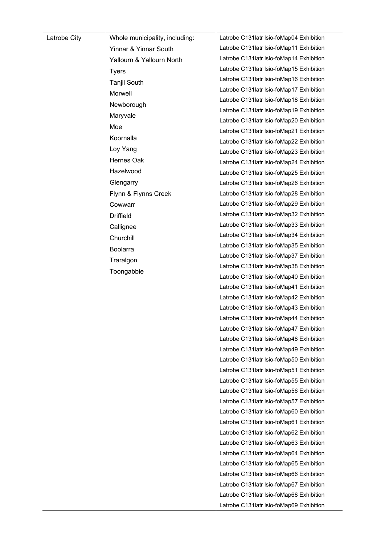| Latrobe City | Whole municipality, including: | Latrobe C131latr Isio-foMap04 Exhibition  |
|--------------|--------------------------------|-------------------------------------------|
|              | Yinnar & Yinnar South          | Latrobe C131latr Isio-foMap11 Exhibition  |
|              | Yallourn & Yallourn North      | Latrobe C131latr Isio-foMap14 Exhibition  |
|              | <b>Tyers</b>                   | Latrobe C131latr Isio-foMap15 Exhibition  |
|              | <b>Tanjil South</b>            | Latrobe C131latr Isio-foMap16 Exhibition  |
|              | Morwell                        | Latrobe C131latr Isio-foMap17 Exhibition  |
|              | Newborough                     | Latrobe C131latr Isio-foMap18 Exhibition  |
|              | Maryvale                       | Latrobe C131latr Isio-foMap19 Exhibition  |
|              | Moe                            | Latrobe C131latr Isio-foMap20 Exhibition  |
|              |                                | Latrobe C131latr Isio-foMap21 Exhibition  |
|              | Koornalla                      | Latrobe C131latr Isio-foMap22 Exhibition  |
|              | Loy Yang                       | Latrobe C131latr Isio-foMap23 Exhibition  |
|              | Hernes Oak                     | Latrobe C131latr Isio-foMap24 Exhibition  |
|              | Hazelwood                      | Latrobe C131latr Isio-foMap25 Exhibition  |
|              | Glengarry                      | Latrobe C131latr Isio-foMap26 Exhibition  |
|              | Flynn & Flynns Creek           | Latrobe C131latr Isio-foMap28 Exhibition  |
|              | Cowwarr                        | Latrobe C131latr Isio-foMap29 Exhibition  |
|              | <b>Driffield</b>               | Latrobe C131latr Isio-foMap32 Exhibition  |
|              | Callignee                      | Latrobe C131latr Isio-foMap33 Exhibition  |
|              | Churchill                      | Latrobe C131latr Isio-foMap34 Exhibition  |
|              | Boolarra                       | Latrobe C131latr Isio-foMap35 Exhibition  |
|              | Traralgon                      | Latrobe C131latr Isio-foMap37 Exhibition  |
|              | Toongabbie                     | Latrobe C131latr Isio-foMap38 Exhibition  |
|              |                                | Latrobe C131latr Isio-foMap40 Exhibition  |
|              |                                | Latrobe C131 latr Isio-foMap41 Exhibition |
|              |                                | Latrobe C131latr Isio-foMap42 Exhibition  |
|              |                                | Latrobe C131latr Isio-foMap43 Exhibition  |
|              |                                | Latrobe C131latr Isio-foMap44 Exhibition  |
|              |                                | Latrobe C131latr Isio-foMap47 Exhibition  |
|              |                                | Latrobe C131latr Isio-foMap48 Exhibition  |
|              |                                | Latrobe C131latr Isio-foMap49 Exhibition  |
|              |                                | Latrobe C131latr Isio-foMap50 Exhibition  |
|              |                                | Latrobe C131latr Isio-foMap51 Exhibition  |
|              |                                | Latrobe C131latr Isio-foMap55 Exhibition  |
|              |                                | Latrobe C131latr Isio-foMap56 Exhibition  |
|              |                                | Latrobe C131latr Isio-foMap57 Exhibition  |
|              |                                | Latrobe C131latr Isio-foMap60 Exhibition  |
|              |                                | Latrobe C131latr Isio-foMap61 Exhibition  |
|              |                                | Latrobe C131latr Isio-foMap62 Exhibition  |
|              |                                | Latrobe C131latr Isio-foMap63 Exhibition  |
|              |                                | Latrobe C131latr Isio-foMap64 Exhibition  |
|              |                                | Latrobe C131latr Isio-foMap65 Exhibition  |
|              |                                | Latrobe C131latr Isio-foMap66 Exhibition  |
|              |                                | Latrobe C131latr Isio-foMap67 Exhibition  |
|              |                                | Latrobe C131latr Isio-foMap68 Exhibition  |
|              |                                | Latrobe C131latr Isio-foMap69 Exhibition  |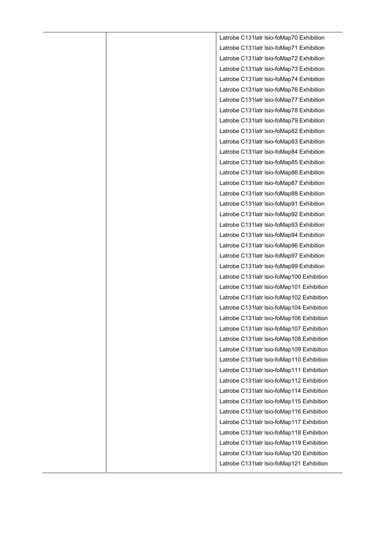Latrobe C131latr lsio-foMap70 Exhibition Latrobe C131latr lsio-foMap71 Exhibition Latrobe C131latr lsio-foMap72 Exhibition Latrobe C131latr lsio-foMap73 Exhibition Latrobe C131latr lsio-foMap74 Exhibition Latrobe C131latr lsio-foMap76 Exhibition Latrobe C131latr lsio-foMap77 Exhibition Latrobe C131latr lsio-foMap78 Exhibition Latrobe C131latr lsio-foMap79 Exhibition Latrobe C131latr lsio-foMap82 Exhibition Latrobe C131latr lsio-foMap83 Exhibition Latrobe C131latr lsio-foMap84 Exhibition Latrobe C131latr lsio-foMap85 Exhibition Latrobe C131latr lsio-foMap86 Exhibition Latrobe C131latr lsio-foMap87 Exhibition Latrobe C131latr lsio-foMap88 Exhibition Latrobe C131latr lsio-foMap91 Exhibition Latrobe C131latr lsio-foMap92 Exhibition Latrobe C131latr lsio-foMap93 Exhibition Latrobe C131latr lsio-foMap94 Exhibition Latrobe C131latr lsio-foMap96 Exhibition Latrobe C131latr lsio-foMap97 Exhibition Latrobe C131latr lsio-foMap99 Exhibition Latrobe C131latr lsio-foMap100 Exhibition Latrobe C131latr lsio-foMap101 Exhibition Latrobe C131latr lsio-foMap102 Exhibition Latrobe C131latr lsio-foMap104 Exhibition Latrobe C131latr lsio-foMap106 Exhibition Latrobe C131latr lsio-foMap107 Exhibition Latrobe C131latr lsio-foMap108 Exhibition Latrobe C131latr lsio-foMap109 Exhibition Latrobe C131latr lsio-foMap110 Exhibition Latrobe C131latr lsio-foMap111 Exhibition Latrobe C131latr lsio-foMap112 Exhibition Latrobe C131latr lsio-foMap114 Exhibition Latrobe C131latr lsio-foMap115 Exhibition Latrobe C131latr lsio-foMap116 Exhibition Latrobe C131latr lsio-foMap117 Exhibition Latrobe C131latr lsio-foMap118 Exhibition Latrobe C131latr lsio-foMap119 Exhibition Latrobe C131latr lsio-foMap120 Exhibition Latrobe C131latr lsio-foMap121 Exhibition